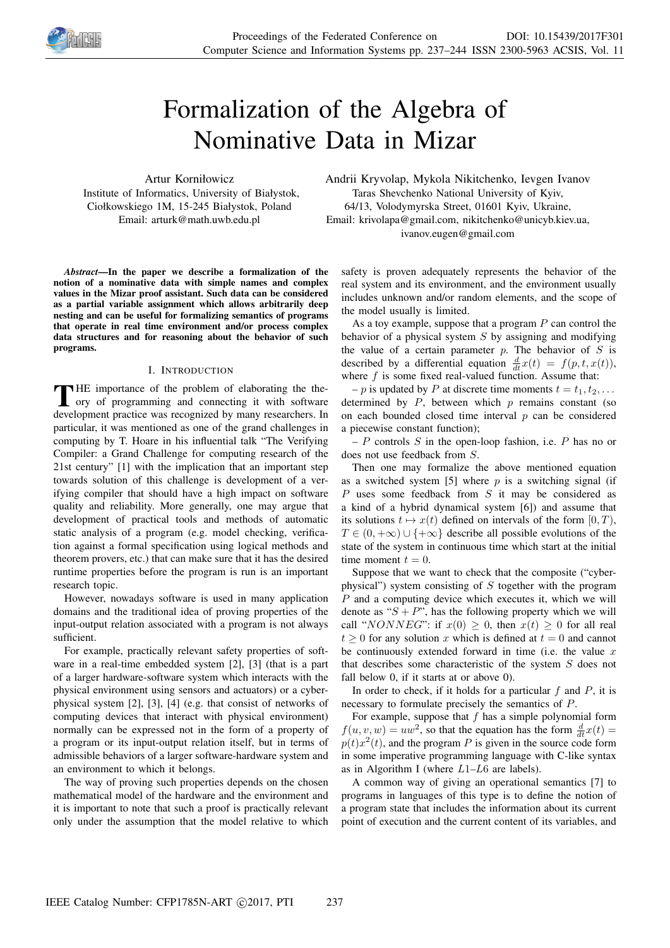

# Formalization of the Algebra of Nominative Data in Mizar

Artur Korniłowicz Institute of Informatics, University of Białystok, Ciołkowskiego 1M, 15-245 Białystok, Poland Email: arturk@math.uwb.edu.pl

*Abstract*—In the paper we describe a formalization of the notion of a nominative data with simple names and complex values in the Mizar proof assistant. Such data can be considered as a partial variable assignment which allows arbitrarily deep nesting and can be useful for formalizing semantics of programs that operate in real time environment and/or process complex data structures and for reasoning about the behavior of such programs.

# I. INTRODUCTION

THE importance of the problem of elaborating the theory of programming and connecting it with software ory of programming and connecting it with software development practice was recognized by many researchers. In particular, it was mentioned as one of the grand challenges in computing by T. Hoare in his influential talk "The Verifying Compiler: a Grand Challenge for computing research of the 21st century" [1] with the implication that an important step towards solution of this challenge is development of a verifying compiler that should have a high impact on software quality and reliability. More generally, one may argue that development of practical tools and methods of automatic static analysis of a program (e.g. model checking, verification against a formal specification using logical methods and theorem provers, etc.) that can make sure that it has the desired runtime properties before the program is run is an important research topic.

However, nowadays software is used in many application domains and the traditional idea of proving properties of the input-output relation associated with a program is not always sufficient.

For example, practically relevant safety properties of software in a real-time embedded system [2], [3] (that is a part of a larger hardware-software system which interacts with the physical environment using sensors and actuators) or a cyberphysical system [2], [3], [4] (e.g. that consist of networks of computing devices that interact with physical environment) normally can be expressed not in the form of a property of a program or its input-output relation itself, but in terms of admissible behaviors of a larger software-hardware system and an environment to which it belongs.

The way of proving such properties depends on the chosen mathematical model of the hardware and the environment and it is important to note that such a proof is practically relevant only under the assumption that the model relative to which

Andrii Kryvolap, Mykola Nikitchenko, Ievgen Ivanov Taras Shevchenko National University of Kyiv, 64/13, Volodymyrska Street, 01601 Kyiv, Ukraine, Email: krivolapa@gmail.com, nikitchenko@unicyb.kiev.ua, ivanov.eugen@gmail.com

safety is proven adequately represents the behavior of the real system and its environment, and the environment usually includes unknown and/or random elements, and the scope of the model usually is limited.

As a toy example, suppose that a program  $P$  can control the behavior of a physical system  $S$  by assigning and modifying the value of a certain parameter  $p$ . The behavior of  $S$  is described by a differential equation  $\frac{d}{dt}x(t) = f(p, t, x(t)),$ where  $f$  is some fixed real-valued function. Assume that:

– p is updated by P at discrete time moments  $t = t_1, t_2, \ldots$ determined by  $P$ , between which  $p$  remains constant (so on each bounded closed time interval  $p$  can be considered a piecewise constant function);

 $-P$  controls S in the open-loop fashion, i.e. P has no or does not use feedback from S.

Then one may formalize the above mentioned equation as a switched system [5] where  $p$  is a switching signal (if  $P$  uses some feedback from  $S$  it may be considered as a kind of a hybrid dynamical system [6]) and assume that its solutions  $t \mapsto x(t)$  defined on intervals of the form  $[0, T)$ ,  $T \in (0, +\infty) \cup \{+\infty\}$  describe all possible evolutions of the state of the system in continuous time which start at the initial time moment  $t = 0$ .

Suppose that we want to check that the composite ("cyberphysical") system consisting of  $S$  together with the program P and a computing device which executes it, which we will denote as " $S + P$ ", has the following property which we will call "NONNEG": if  $x(0) > 0$ , then  $x(t) > 0$  for all real  $t > 0$  for any solution x which is defined at  $t = 0$  and cannot be continuously extended forward in time (i.e. the value  $x$ that describes some characteristic of the system  $S$  does not fall below 0, if it starts at or above 0).

In order to check, if it holds for a particular  $f$  and  $P$ , it is necessary to formulate precisely the semantics of P.

For example, suppose that  $f$  has a simple polynomial form  $f(u, v, w) = uw^2$ , so that the equation has the form  $\frac{d}{dt}x(t) =$  $p(t)x^{2}(t)$ , and the program P is given in the source code form in some imperative programming language with C-like syntax as in Algorithm I (where  $L1-L6$  are labels).

A common way of giving an operational semantics [7] to programs in languages of this type is to define the notion of a program state that includes the information about its current point of execution and the current content of its variables, and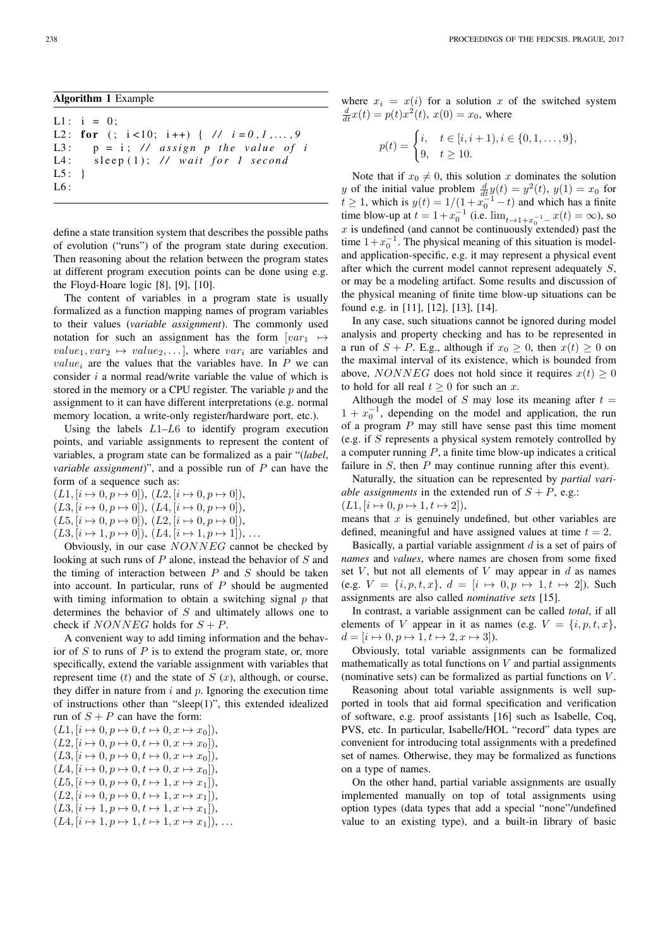$L1: i = 0;$ L2: for (;  $i < 10$ ;  $i + 1$ ) { //  $i = 0, 1, ..., 9$ L3:  $p = i$ ; // *assign p the value of i* L4: sleep (1); // wait for 1 second  $L5:$ } L6 :

define a state transition system that describes the possible paths of evolution ("runs") of the program state during execution. Then reasoning about the relation between the program states at different program execution points can be done using e.g. the Floyd-Hoare logic [8], [9], [10].

The content of variables in a program state is usually formalized as a function mapping names of program variables to their values (*variable assignment*). The commonly used notation for such an assignment has the form  $[var_1 \rightarrow$  $value_1, var_2 \mapsto value_2, \ldots$ , where  $var_i$  are variables and  $value_i$  are the values that the variables have. In  $P$  we can consider i a normal read/write variable the value of which is stored in the memory or a CPU register. The variable  $p$  and the assignment to it can have different interpretations (e.g. normal memory location, a write-only register/hardware port, etc.).

Using the labels  $L1-L6$  to identify program execution points, and variable assignments to represent the content of variables, a program state can be formalized as a pair "(*label*, *variable assignment*)", and a possible run of P can have the form of a sequence such as:

 $(L1, [i \mapsto 0, p \mapsto 0]), (L2, [i \mapsto 0, p \mapsto 0]),$  $(L3, [i \mapsto 0, p \mapsto 0]), (L4, [i \mapsto 0, p \mapsto 0]),$  $(L5, [i \mapsto 0, p \mapsto 0]), (L2, [i \mapsto 0, p \mapsto 0]),$ 

 $(L3, [i \mapsto 1, p \mapsto 0]), (L4, [i \mapsto 1, p \mapsto 1]), \ldots$ 

Obviously, in our case NONNEG cannot be checked by looking at such runs of  $P$  alone, instead the behavior of  $S$  and the timing of interaction between  $P$  and  $S$  should be taken into account. In particular, runs of  $P$  should be augmented with timing information to obtain a switching signal  $p$  that determines the behavior of S and ultimately allows one to check if *NONNEG* holds for  $S + P$ .

A convenient way to add timing information and the behavior of  $S$  to runs of  $P$  is to extend the program state, or, more specifically, extend the variable assignment with variables that represent time  $(t)$  and the state of  $S(x)$ , although, or course, they differ in nature from  $i$  and  $p$ . Ignoring the execution time of instructions other than "sleep(1)", this extended idealized run of  $S + P$  can have the form:

 $(L1, [i \mapsto 0, p \mapsto 0, t \mapsto 0, x \mapsto x_0]),$  $(L2, [i \mapsto 0, p \mapsto 0, t \mapsto 0, x \mapsto x_0]),$  $(L3, [i \mapsto 0, p \mapsto 0, t \mapsto 0, x \mapsto x_0]),$  $(L4, [i \mapsto 0, p \mapsto 0, t \mapsto 0, x \mapsto x_0]),$  $(L5, [i \mapsto 0, p \mapsto 0, t \mapsto 1, x \mapsto x_1]),$  $(L2, [i \mapsto 0, p \mapsto 0, t \mapsto 1, x \mapsto x_1]),$  $(L3, [i \mapsto 1, p \mapsto 0, t \mapsto 1, x \mapsto x_1]),$  $(L4, [i \mapsto 1, p \mapsto 1, t \mapsto 1, x \mapsto x_1]), \ldots$  where  $x_i = x(i)$  for a solution x of the switched system  $\frac{d}{dt}x(t) = p(t)x^{2}(t), x(0) = x_{0}$ , where

$$
p(t) = \begin{cases} i, & t \in [i, i + 1), i \in \{0, 1, \dots, 9\}, \\ 9, & t \ge 10. \end{cases}
$$

Note that if  $x_0 \neq 0$ , this solution x dominates the solution y of the initial value problem  $\frac{d}{dt}y(t) = y^2(t)$ ,  $y(1) = x_0$  for  $t \ge 1$ , which is  $y(t) = 1/(1 + x_0^{-1} - t)$  and which has a finite time blow-up at  $t = 1 + x_0^{-1}$  (i.e.  $\lim_{t \to 1 + x_0^{-1}} x(t) = \infty$ ), so  $x$  is undefined (and cannot be continuously extended) past the time  $1+x_0^{-1}$ . The physical meaning of this situation is modeland application-specific, e.g. it may represent a physical event after which the current model cannot represent adequately S, or may be a modeling artifact. Some results and discussion of the physical meaning of finite time blow-up situations can be found e.g. in [11], [12], [13], [14].

In any case, such situations cannot be ignored during model analysis and property checking and has to be represented in a run of  $S + P$ . E.g., although if  $x_0 \ge 0$ , then  $x(t) \ge 0$  on the maximal interval of its existence, which is bounded from above, NONNEG does not hold since it requires  $x(t) \geq 0$ to hold for all real  $t \geq 0$  for such an x.

Although the model of S may lose its meaning after  $t =$  $1 + x_0^{-1}$ , depending on the model and application, the run of a program  $P$  may still have sense past this time moment (e.g. if S represents a physical system remotely controlled by a computer running  $P$ , a finite time blow-up indicates a critical failure in  $S$ , then  $P$  may continue running after this event).

Naturally, the situation can be represented by *partial variable assignments* in the extended run of  $S + P$ , e.g.:  $(L1, [i \mapsto 0, p \mapsto 1, t \mapsto 2]),$ 

means that  $x$  is genuinely undefined, but other variables are defined, meaningful and have assigned values at time  $t = 2$ .

Basically, a partial variable assignment  $d$  is a set of pairs of *names* and *values*, where names are chosen from some fixed set  $V$ , but not all elements of  $V$  may appear in  $d$  as names (e.g.  $V = \{i, p, t, x\}, d = [i \mapsto 0, p \mapsto 1, t \mapsto 2]$ ). Such assignments are also called *nominative sets* [15].

In contrast, a variable assignment can be called *total*, if all elements of V appear in it as names (e.g.  $V = \{i, p, t, x\}$ ,  $d = [i \mapsto 0, p \mapsto 1, t \mapsto 2, x \mapsto 3]$ .

Obviously, total variable assignments can be formalized mathematically as total functions on  $V$  and partial assignments (nominative sets) can be formalized as partial functions on  $V$ .

Reasoning about total variable assignments is well supported in tools that aid formal specification and verification of software, e.g. proof assistants [16] such as Isabelle, Coq, PVS, etc. In particular, Isabelle/HOL "record" data types are convenient for introducing total assignments with a predefined set of names. Otherwise, they may be formalized as functions on a type of names.

On the other hand, partial variable assignments are usually implemented manually on top of total assignments using option types (data types that add a special "none"/undefined value to an existing type), and a built-in library of basic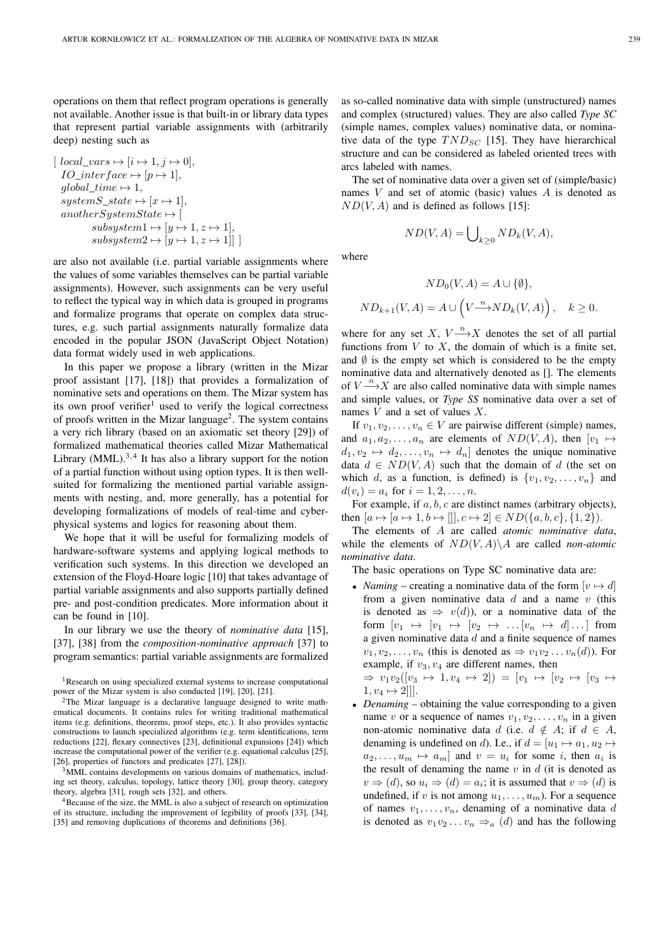operations on them that reflect program operations is generally not available. Another issue is that built-in or library data types that represent partial variable assignments with (arbitrarily deep) nesting such as

$$
[local\_vars \mapsto [i \mapsto 1, j \mapsto 0],
$$
  
\n*IO\_interface*  $\mapsto$  [ $p \mapsto 1$ ],  
\n*global\_time*  $\mapsto$  1,  
\n*systemS\_state*  $\mapsto$  [ $x \mapsto 1$ ],  
\n*anotherSystemState*  $\mapsto$  [ $y \mapsto 1, z \mapsto 1$ ],  
\n*subsystem2*  $\mapsto$  [ $y \mapsto 1, z \mapsto 1$ ]]

are also not available (i.e. partial variable assignments where the values of some variables themselves can be partial variable assignments). However, such assignments can be very useful to reflect the typical way in which data is grouped in programs and formalize programs that operate on complex data structures, e.g. such partial assignments naturally formalize data encoded in the popular JSON (JavaScript Object Notation) data format widely used in web applications.

In this paper we propose a library (written in the Mizar proof assistant [17], [18]) that provides a formalization of nominative sets and operations on them. The Mizar system has its own proof verifier<sup>1</sup> used to verify the logical correctness of proofs written in the Mizar language<sup>2</sup>. The system contains a very rich library (based on an axiomatic set theory [29]) of formalized mathematical theories called Mizar Mathematical Library (MML). $3,4$  It has also a library support for the notion of a partial function without using option types. It is then wellsuited for formalizing the mentioned partial variable assignments with nesting, and, more generally, has a potential for developing formalizations of models of real-time and cyberphysical systems and logics for reasoning about them.

We hope that it will be useful for formalizing models of hardware-software systems and applying logical methods to verification such systems. In this direction we developed an extension of the Floyd-Hoare logic [10] that takes advantage of partial variable assignments and also supports partially defined pre- and post-condition predicates. More information about it can be found in [10].

In our library we use the theory of *nominative data* [15], [37], [38] from the *composition-nominative approach* [37] to program semantics: partial variable assignments are formalized

<sup>3</sup>MML contains developments on various domains of mathematics, including set theory, calculus, topology, lattice theory [30], group theory, category theory, algebra [31], rough sets [32], and others.

<sup>4</sup>Because of the size, the MML is also a subject of research on optimization of its structure, including the improvement of legibility of proofs [33], [34], [35] and removing duplications of theorems and definitions [36].

as so-called nominative data with simple (unstructured) names and complex (structured) values. They are also called *Type SC* (simple names, complex values) nominative data, or nominative data of the type  $TND_{SC}$  [15]. They have hierarchical structure and can be considered as labeled oriented trees with arcs labeled with names.

The set of nominative data over a given set of (simple/basic) names V and set of atomic (basic) values A is denoted as  $ND(V, A)$  and is defined as follows [15]:

 $ND(V, A) = \bigcup_{k \geq 0} ND_k(V, A),$ 

where

$$
ND_0(V, A) = A \cup \{\emptyset\},
$$
  

$$
ND_{k+1}(V, A) = A \cup \left(V \xrightarrow{n} ND_k(V, A)\right), \quad k \ge 0.
$$

where for any set X,  $V \xrightarrow{n} X$  denotes the set of all partial functions from  $V$  to  $X$ , the domain of which is a finite set, and  $\emptyset$  is the empty set which is considered to be the empty nominative data and alternatively denoted as []. The elements of  $V \rightarrow X$  are also called nominative data with simple names and simple values, or *Type SS* nominative data over a set of names  $V$  and a set of values  $X$ .

If  $v_1, v_2, \ldots, v_n \in V$  are pairwise different (simple) names, and  $a_1, a_2, \ldots, a_n$  are elements of  $ND(V, A)$ , then  $[v_1 \mapsto$  $d_1, v_2 \mapsto d_2, \ldots, v_n \mapsto d_n$  denotes the unique nominative data  $d \in ND(V, A)$  such that the domain of d (the set on which d, as a function, is defined) is  $\{v_1, v_2, \ldots, v_n\}$  and  $d(v_i) = a_i$  for  $i = 1, 2, ..., n$ .

For example, if  $a, b, c$  are distinct names (arbitrary objects), then  $[a \mapsto [a \mapsto 1, b \mapsto []], c \mapsto 2] \in ND({a, b, c}, {1, 2}).$ 

The elements of A are called *atomic nominative data*, while the elements of  $ND(V, A) \ A$  are called *non-atomic nominative data*.

The basic operations on Type SC nominative data are:

• *Naming* – creating a nominative data of the form  $[v \mapsto d]$ from a given nominative data  $d$  and a name  $v$  (this is denoted as  $\Rightarrow v(d)$ , or a nominative data of the form  $[v_1 \mapsto [v_1 \mapsto [v_2 \mapsto ... [v_n \mapsto d] \dots]$  from a given nominative data  $d$  and a finite sequence of names  $v_1, v_2, \ldots, v_n$  (this is denoted as  $\Rightarrow v_1v_2 \ldots v_n(d)$ ). For example, if  $v_3$ ,  $v_4$  are different names, then

 $\Rightarrow v_1v_2([v_3 \mapsto 1, v_4 \mapsto 2]) = [v_1 \mapsto [v_2 \mapsto [v_3 \mapsto$  $1, v_4 \mapsto 2$ ]].

• *Denaming* – obtaining the value corresponding to a given name v or a sequence of names  $v_1, v_2, \ldots, v_n$  in a given non-atomic nominative data d (i.e.  $d \notin A$ ; if  $d \in A$ , denaming is undefined on d). I.e., if  $d = [u_1 \mapsto a_1, u_2 \mapsto$  $a_2, \ldots, u_m \mapsto a_m$  and  $v = u_i$  for some i, then  $a_i$  is the result of denaming the name  $v$  in  $d$  (it is denoted as  $v \Rightarrow (d)$ , so  $u_i \Rightarrow (d) = a_i$ ; it is assumed that  $v \Rightarrow (d)$  is undefined, if v is not among  $u_1, \ldots, u_m$ ). For a sequence of names  $v_1, \ldots, v_n$ , denaming of a nominative data d is denoted as  $v_1v_2...v_n \Rightarrow_a (d)$  and has the following

<sup>&</sup>lt;sup>1</sup>Research on using specialized external systems to increase computational power of the Mizar system is also conducted [19], [20], [21].

<sup>&</sup>lt;sup>2</sup>The Mizar language is a declarative language designed to write mathematical documents. It contains rules for writing traditional mathematical items (e.g. definitions, theorems, proof steps, etc.). It also provides syntactic constructions to launch specialized algorithms (e.g. term identifications, term reductions [22], flexary connectives [23], definitional expansions [24]) which increase the computational power of the verifier (e.g. equational calculus [25], [26], properties of functors and predicates [27], [28]).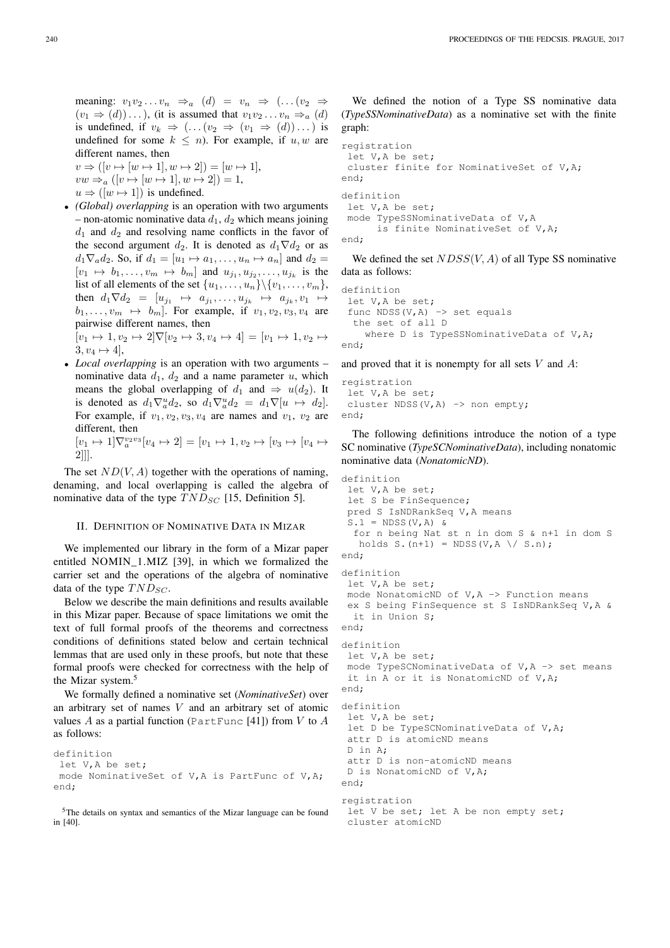meaning:  $v_1v_2...v_n \Rightarrow_a (d) = v_n \Rightarrow (... (v_2 \Rightarrow$  $(v_1 \Rightarrow (d)) \dots$ , (it is assumed that  $v_1v_2 \dots v_n \Rightarrow_a (d)$ is undefined, if  $v_k \Rightarrow$   $(\dots (v_2 \Rightarrow (v_1 \Rightarrow (d)) \dots)$  is undefined for some  $k \leq n$ ). For example, if  $u, w$  are different names, then

 $v \Rightarrow ( [v \mapsto [w \mapsto 1], w \mapsto 2] ) = [w \mapsto 1],$  $vw \Rightarrow a ([v \mapsto [w \mapsto 1], w \mapsto 2]) = 1,$  $u \Rightarrow (w \mapsto 1)$  is undefined.

• *(Global) overlapping* is an operation with two arguments – non-atomic nominative data  $d_1$ ,  $d_2$  which means joining  $d_1$  and  $d_2$  and resolving name conflicts in the favor of the second argument  $d_2$ . It is denoted as  $d_1 \nabla d_2$  or as  $d_1 \nabla_a d_2$ . So, if  $d_1 = [u_1 \mapsto a_1, \ldots, u_n \mapsto a_n]$  and  $d_2 =$  $[v_1 \mapsto b_1, \ldots, v_m \mapsto b_m]$  and  $u_{j_1}, u_{j_2}, \ldots, u_{j_k}$  is the list of all elements of the set  $\{u_1, \ldots, u_n\} \setminus \{v_1, \ldots, v_m\}$ , then  $d_1 \nabla d_2 = [u_{j_1} \mapsto a_{j_1}, \dots, u_{j_k} \mapsto a_{j_k}, v_1 \mapsto$  $b_1, \ldots, v_m \mapsto b_m$ . For example, if  $v_1, v_2, v_3, v_4$  are pairwise different names, then

 $[v_1 \mapsto 1, v_2 \mapsto 2] \nabla [v_2 \mapsto 3, v_4 \mapsto 4] = [v_1 \mapsto 1, v_2 \mapsto$  $3, v_4 \mapsto 4$ ,

• *Local overlapping* is an operation with two arguments – nominative data  $d_1$ ,  $d_2$  and a name parameter u, which means the global overlapping of  $d_1$  and  $\Rightarrow u(d_2)$ . It is denoted as  $d_1 \nabla_a^u d_2$ , so  $d_1 \nabla_a^u d_2 = d_1 \nabla [u \mapsto d_2]$ . For example, if  $v_1, v_2, v_3, v_4$  are names and  $v_1, v_2$  are different, then  $[v_1 \mapsto 1] \nabla_a^{v_2 v_3} [v_4 \mapsto 2] = [v_1 \mapsto 1, v_2 \mapsto [v_3 \mapsto [v_4 \mapsto$ 

```
2]]].
```
The set  $ND(V, A)$  together with the operations of naming, denaming, and local overlapping is called the algebra of nominative data of the type  $TND_{SC}$  [15, Definition 5].

### II. DEFINITION OF NOMINATIVE DATA IN MIZAR

We implemented our library in the form of a Mizar paper entitled NOMIN\_1.MIZ [39], in which we formalized the carrier set and the operations of the algebra of nominative data of the type  $TND_{SC}$ .

Below we describe the main definitions and results available in this Mizar paper. Because of space limitations we omit the text of full formal proofs of the theorems and correctness conditions of definitions stated below and certain technical lemmas that are used only in these proofs, but note that these formal proofs were checked for correctness with the help of the Mizar system.<sup>5</sup>

We formally defined a nominative set (*NominativeSet*) over an arbitrary set of names V and an arbitrary set of atomic values  $A$  as a partial function (PartFunc [41]) from  $V$  to  $A$ as follows:

```
definition
let V,A be set;
mode NominativeSet of V,A is PartFunc of V,A;
end;
```
<sup>5</sup>The details on syntax and semantics of the Mizar language can be found in [40].

We defined the notion of a Type SS nominative data (*TypeSSNominativeData*) as a nominative set with the finite graph:

```
registration
let V,A be set;
cluster finite for NominativeSet of V,A;
end;
definition
let V,A be set;
mode TypeSSNominativeData of V,A
     is finite NominativeSet of V,A;
```
end;

We defined the set  $NDSS(V, A)$  of all Type SS nominative data as follows:

```
definition
let V,A be set;
 func NDSS(V, A) \rightarrow set equals
  the set of all D
    where D is TypeSSNominativeData of V, A;
end;
```
and proved that it is nonempty for all sets  $V$  and  $A$ :

```
registration
 let V,A be set;
 cluster NDSS(V, A) \rightarrow non empty;
end;
```
The following definitions introduce the notion of a type SC nominative (*TypeSCNominativeData*), including nonatomic nominative data (*NonatomicND*).

```
definition
let V,A be set;
let S be FinSequence;
pred S IsNDRankSeq V,A means
S.1 = NDSS(V, A) &
  for n being Nat st n in dom S & n+1 in dom S
  holds S.(n+1) = NDSS(V,A \setminus S.n);end;
definition
let V,A be set;
mode NonatomicND of V, A \Rightarrow Function means
ex S being FinSequence st S IsNDRankSeq V,A &
 it in Union S;
end;
definition
let V,A be set;
mode TypeSCNominativeData of V, A \rightarrow set means
it in A or it is NonatomicND of V,A;
end;
definition
let V,A be set;
let D be TypeSCNominativeData of V, A;
attr D is atomicND means
D in A;
attr D is non-atomicND means
D is NonatomicND of V,A;
end;
registration
let V be set; let A be non empty set;
cluster atomicND
```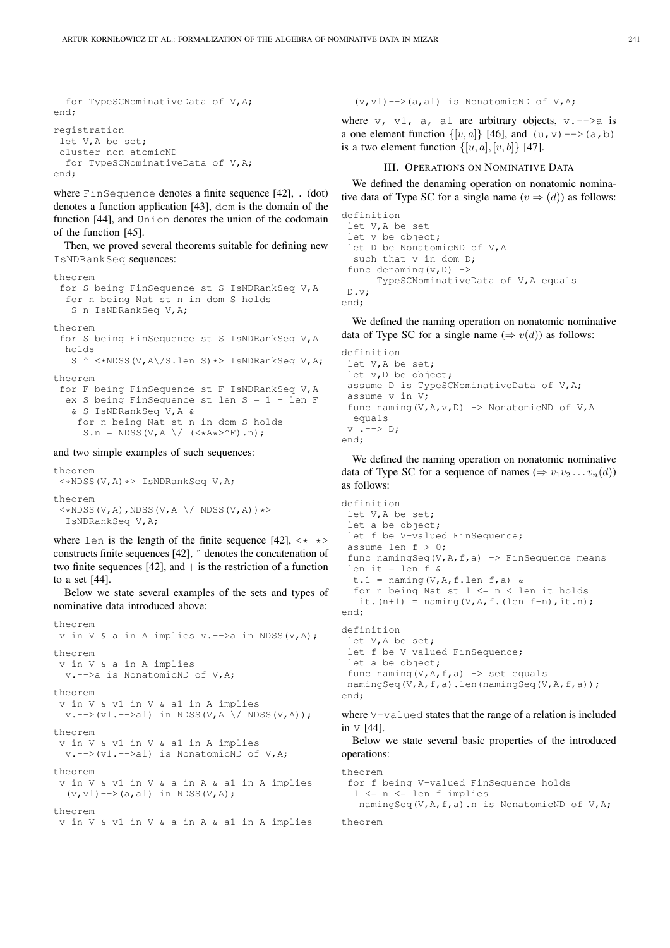```
for TypeSCNominativeData of V,A;
end;
registration
let V,A be set;
cluster non-atomicND
  for TypeSCNominativeData of V,A;
end;
```
where FinSequence denotes a finite sequence [42], . (dot) denotes a function application [43], dom is the domain of the function [44], and Union denotes the union of the codomain of the function [45].

Then, we proved several theorems suitable for defining new IsNDRankSeq sequences:

```
theorem
for S being FinSequence st S IsNDRankSeq V,A
  for n being Nat st n in dom S holds
   S|n IsNDRankSeq V,A;
theorem
for S being FinSequence st S IsNDRankSeq V,A
  holds
   S ^ <*NDSS(V,A\/S.len S)*> IsNDRankSeq V,A;
theorem
 for F being FinSequence st F IsNDRankSeq V,A
  ex S being FinSequence st len S = 1 + len F
   & S IsNDRankSeq V,A &
    for n being Nat st n in dom S holds
     S.n = NDSS(V, A \setminus / \left(\langle \star A \star \rangle^{\wedge} F\right).n);
```
and two simple examples of such sequences:

theorem <\*NDSS(V,A)\*> IsNDRankSeq V,A; theorem  $\lt\star$ NDSS(V,A),NDSS(V,A \/ NDSS(V,A)) \*> IsNDRankSeq V,A;

where len is the length of the finite sequence [42],  $\langle * \rangle$ constructs finite sequences [42], ˆ denotes the concatenation of two finite sequences  $[42]$ , and  $|$  is the restriction of a function to a set [44].

Below we state several examples of the sets and types of nominative data introduced above:

```
theorem
 v in V & a in A implies v.-->a in NDSS(V,A);
theorem
 v in V & a in A implies
  v.-->a is NonatomicND of V,A;
theorem
 v in V & v1 in V & a1 in A implies
  v. \rightarrow (v1. \rightarrow a1) in NDSS(V,A)/NDSS(V,A));
theorem
 v in V & v1 in V & a1 in A implies
  v. \rightarrow (v1. \rightarrow a1) is NonatomicND of V, A;
theorem
 v in V & v1 in V & a in A & a1 in A implies
  (v,v1) \longrightarrow (a,a1) in {\tt NDSS}\left(V,A\right) ;
theorem
 v in V & v1 in V & a in A & a1 in A implies
```
 $(v, v1) \rightarrow (a, a1)$  is NonatomicND of V, A;

where  $v$ ,  $v1$ , a, a1 are arbitrary objects,  $v$ . -->a is a one element function  $\{[v, a]\}$  [46], and  $(u, v) \rightarrow (a, b)$ is a two element function  $\{[u, a], [v, b]\}$  [47].

# III. OPERATIONS ON NOMINATIVE DATA

We defined the denaming operation on nonatomic nominative data of Type SC for a single name  $(v \Rightarrow (d))$  as follows:

```
definition
let V,A be set
let v be object;
let D be NonatomicND of V,A
 such that v in dom D;
 func denaming (v, D) ->
      TypeSCNominativeData of V,A equals
D.v;
end;
```
We defined the naming operation on nonatomic nominative data of Type SC for a single name  $(\Rightarrow v(d))$  as follows:

```
definition
let V,A be set;
 let v, D be object;
assume D is TypeSCNominativeData of V,A;
 assume v in V;
 func naming (V, A, v, D) -> NonatomicND of V, A
 equals
v : --- \ D;
end;
```
We defined the naming operation on nonatomic nominative data of Type SC for a sequence of names ( $\Rightarrow v_1v_2 \dots v_n(d)$ ) as follows:

```
definition
let V,A be set;
 let a be object;
 let f be V-valued FinSequence;
 assume len f > 0;
 func namingSeq(V,A,f,a) \rightarrow FinSequence means
 len it = len f \&t.1 = naming (V, A, f. len f, a) &
  for n being Nat st 1 \le n \le \text{len it holds}it.(n+1) = naming(V,A,f.(len f-n),it.n);
end;
definition
let V,A be set;
 let f be V-valued FinSequence;
 let a be object;
 func naming (V, A, f, a) \rightarrow set equalsnamingSeq(V,A,f,a).len(namingSeq(V,A,f,a));
end;
```
where V-valued states that the range of a relation is included in V [44].

Below we state several basic properties of the introduced operations:

```
theorem
 for f being V-valued FinSequence holds
  1 \le n \le \text{len } f \text{ implies}namingSeq(V,A,f,a).n is NonatomicND of V,A;
```

```
theorem
```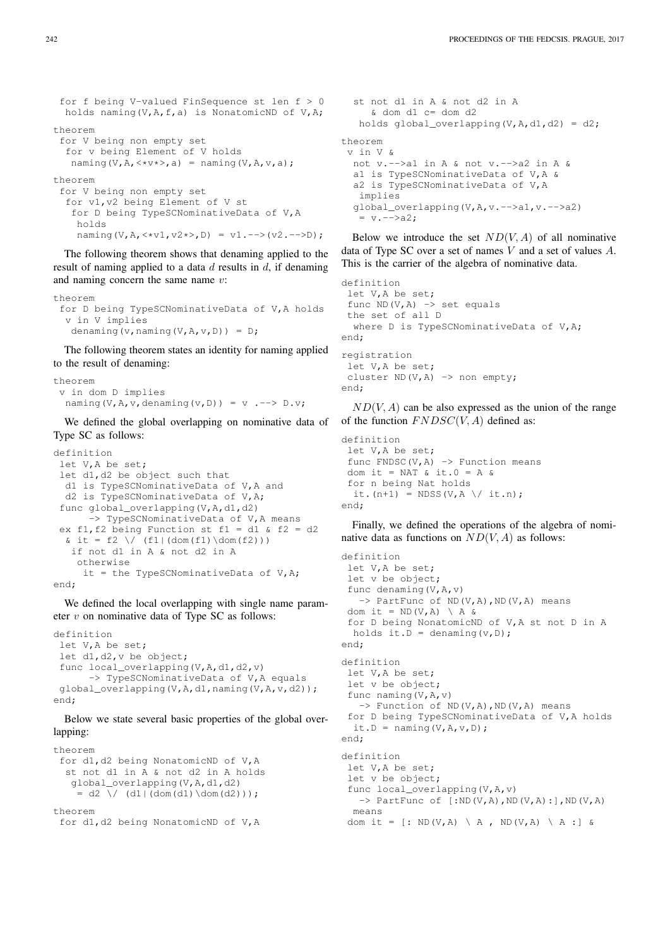```
for f being V-valued FinSequence st len f > 0holds naming(V,A,f,a) is NonatomicND of V,A;
theorem
 for V being non empty set
  for v being Element of V holds
  naming(V,A, <*v*>,a) = naming(V,A, v,a);
theorem
 for V being non empty set
  for v1,v2 being Element of V st
   for D being TypeSCNominativeData of V,A
   holds
   naming(V,A, <*v1, v2*>,D) = v1.-->(v2.-->D);
```
The following theorem shows that denaming applied to the result of naming applied to a data  $d$  results in  $d$ , if denaming and naming concern the same name v:

```
theorem
 for D being TypeSCNominativeData of V,A holds
  v in V implies
  denaming(v,naming(V,A,v,D)) = D;
```
The following theorem states an identity for naming applied to the result of denaming:

```
theorem
 v in dom D implies
  naming(V,A, v, denaming(v,D)) = v \cdot --> D.v;
```
We defined the global overlapping on nominative data of Type SC as follows:

```
definition
let V,A be set;
 let d1,d2 be object such that
  d1 is TypeSCNominativeData of V,A and
 d2 is TypeSCNominativeData of V,A;
 func global_overlapping(V,A,d1,d2)
      -> TypeSCNominativeData of V, A means
 ex f1, f2 being Function st f1 = d1 & f2 = d2
  \& it = f2 \/ (f1|(dom(f1)\dom(f2)))
   if not d1 in A & not d2 in A
    otherwise
     it = the TypeSCNominativeData of V, A;
end;
```
We defined the local overlapping with single name parameter  $v$  on nominative data of Type SC as follows:

```
definition
let V,A be set;
 let d1,d2,v be object;
 func local_overlapping(V,A,d1,d2,v)
      -> TypeSCNominativeData of V,A equals
global_overlapping(V,A,d1,naming(V,A,v,d2));
end;
```
Below we state several basic properties of the global overlapping:

```
theorem
 for d1,d2 being NonatomicND of V,A
  st not d1 in A & not d2 in A holds
   global_overlapping(V,A,d1,d2)
    = d2 \ \/ d1 | (dom(d1) \dom(d2)));theorem
```

```
for d1,d2 being NonatomicND of V,A
```

```
st not d1 in A & not d2 in A
     & dom d1 c= dom d2
   holds global overlapping(V,A,d1,d2) = d2;
theorem
v in V &
 not v.-->a1 in A & not v.-->a2 in A &
 a1 is TypeSCNominativeData of V,A &
 a2 is TypeSCNominativeData of V,A
  implies
 global_overlapping(V,A,v.-->a1,v.-->a2)
   = v. - - \ge a2;
```
Below we introduce the set  $ND(V, A)$  of all nominative data of Type SC over a set of names V and a set of values A. This is the carrier of the algebra of nominative data.

```
definition
let V,A be set;
func ND(V, A) -> set equals
the set of all D
 where D is TypeSCNominativeData of V, A;
end;
registration
let V,A be set;
cluster ND(V, A) \rightarrow non empty;
end;
```
 $ND(V, A)$  can be also expressed as the union of the range of the function  $FNDSC(V, A)$  defined as:

```
definition
let V,A be set;
 func FNDSC(V, A) \rightarrow Function means
dom it = NAT & it. 0 = A \&for n being Nat holds
 it.(n+1) = NDSS(V,A \/ it.n);
end;
```
Finally, we defined the operations of the algebra of nominative data as functions on  $ND(V, A)$  as follows:

```
definition
 let V,A be set;
 let v be object;
 func denaming (V, A, v)\Rightarrow PartFunc of ND(V,A),ND(V,A) means
 dom it = ND(V, A) \ A &
 for D being NonatomicND of V,A st not D in A
 holds it. D = denaming (v, D);
end;
definition
let V,A be set;
 let v be object;
 func naming (V, A, v)\Rightarrow Function of ND(V,A),ND(V,A) means
 for D being TypeSCNominativeData of V,A holds
  it.D = naming (V, A, v, D);
end;
definition
let V,A be set;
let v be object;
func local_overlapping(V,A,v)
   \Rightarrow PartFunc of [:ND(V,A),ND(V,A):],ND(V,A)
  means
dom it = \lceil: ND(V,A) \ A , ND(V,A) \ A : 1 &
```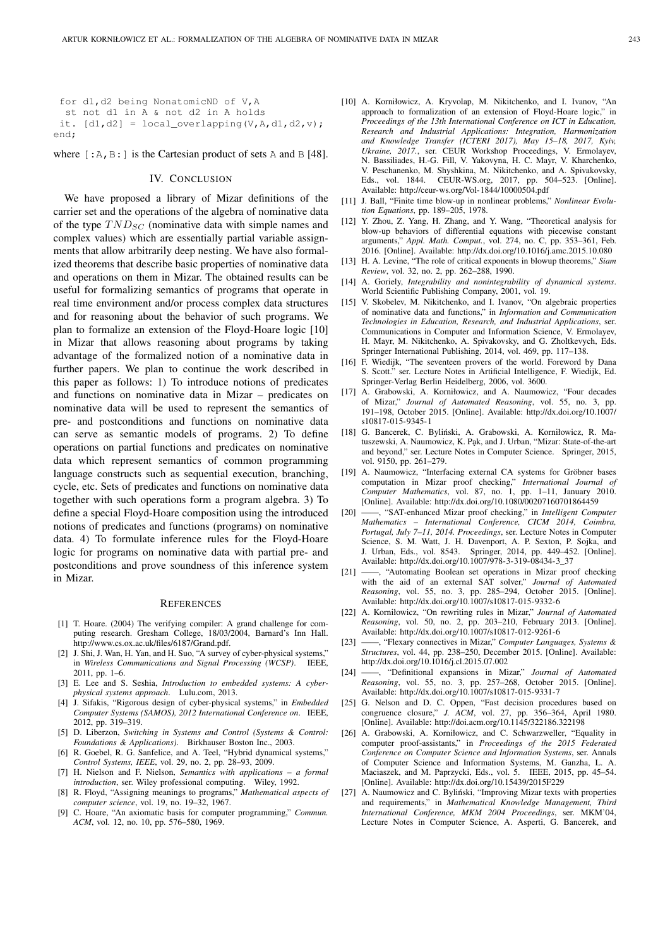```
for d1,d2 being NonatomicND of V,A
  st not d1 in A & not d2 in A holds
 it. [d1, d2] = local-overlapping(V, A, d1, d2, v);end;
```
where  $[:A, B:]$  is the Cartesian product of sets A and B [48].

## IV. CONCLUSION

We have proposed a library of Mizar definitions of the carrier set and the operations of the algebra of nominative data of the type  $TND_{SC}$  (nominative data with simple names and complex values) which are essentially partial variable assignments that allow arbitrarily deep nesting. We have also formalized theorems that describe basic properties of nominative data and operations on them in Mizar. The obtained results can be useful for formalizing semantics of programs that operate in real time environment and/or process complex data structures and for reasoning about the behavior of such programs. We plan to formalize an extension of the Floyd-Hoare logic [10] in Mizar that allows reasoning about programs by taking advantage of the formalized notion of a nominative data in further papers. We plan to continue the work described in this paper as follows: 1) To introduce notions of predicates and functions on nominative data in Mizar – predicates on nominative data will be used to represent the semantics of pre- and postconditions and functions on nominative data can serve as semantic models of programs. 2) To define operations on partial functions and predicates on nominative data which represent semantics of common programming language constructs such as sequential execution, branching, cycle, etc. Sets of predicates and functions on nominative data together with such operations form a program algebra. 3) To define a special Floyd-Hoare composition using the introduced notions of predicates and functions (programs) on nominative data. 4) To formulate inference rules for the Floyd-Hoare logic for programs on nominative data with partial pre- and postconditions and prove soundness of this inference system in Mizar.

#### **REFERENCES**

- [1] T. Hoare. (2004) The verifying compiler: A grand challenge for computing research. Gresham College, 18/03/2004, Barnard's Inn Hall. http://www.cs.ox.ac.uk/files/6187/Grand.pdf.
- [2] J. Shi, J. Wan, H. Yan, and H. Suo, "A survey of cyber-physical systems," in *Wireless Communications and Signal Processing (WCSP)*. IEEE, 2011, pp. 1–6.
- [3] E. Lee and S. Seshia, *Introduction to embedded systems: A cyberphysical systems approach*. Lulu.com, 2013.
- [4] J. Sifakis, "Rigorous design of cyber-physical systems," in *Embedded Computer Systems (SAMOS), 2012 International Conference on*. IEEE, 2012, pp. 319–319.
- [5] D. Liberzon, *Switching in Systems and Control (Systems & Control: Foundations & Applications)*. Birkhauser Boston Inc., 2003.
- [6] R. Goebel, R. G. Sanfelice, and A. Teel, "Hybrid dynamical systems," *Control Systems, IEEE*, vol. 29, no. 2, pp. 28–93, 2009.
- [7] H. Nielson and F. Nielson, *Semantics with applications a formal introduction*, ser. Wiley professional computing.
- [8] R. Floyd, "Assigning meanings to programs," *Mathematical aspects of computer science*, vol. 19, no. 19–32, 1967.
- [9] C. Hoare, "An axiomatic basis for computer programming," *Commun. ACM*, vol. 12, no. 10, pp. 576–580, 1969.
- [10] A. Korniłowicz, A. Kryvolap, M. Nikitchenko, and I. Ivanov, "An approach to formalization of an extension of Floyd-Hoare logic," in *Proceedings of the 13th International Conference on ICT in Education, Research and Industrial Applications: Integration, Harmonization and Knowledge Transfer (ICTERI 2017), May 15–18, 2017, Kyiv, Ukraine, 2017.*, ser. CEUR Workshop Proceedings, V. Ermolayev, N. Bassiliades, H.-G. Fill, V. Yakovyna, H. C. Mayr, V. Kharchenko, V. Peschanenko, M. Shyshkina, M. Nikitchenko, and A. Spivakovsky, Eds., vol. 1844. CEUR-WS.org, 2017, pp. 504–523. [Online]. Available: http://ceur-ws.org/Vol-1844/10000504.pdf
- [11] J. Ball, "Finite time blow-up in nonlinear problems," *Nonlinear Evolution Equations*, pp. 189–205, 1978.
- [12] Y. Zhou, Z. Yang, H. Zhang, and Y. Wang, "Theoretical analysis for blow-up behaviors of differential equations with piecewise constant arguments," *Appl. Math. Comput.*, vol. 274, no. C, pp. 353–361, Feb. 2016. [Online]. Available: http://dx.doi.org/10.1016/j.amc.2015.10.080
- [13] H. A. Levine, "The role of critical exponents in blowup theorems," *Siam Review*, vol. 32, no. 2, pp. 262–288, 1990.
- [14] A. Goriely, *Integrability and nonintegrability of dynamical systems*. World Scientific Publishing Company, 2001, vol. 19.
- [15] V. Skobelev, M. Nikitchenko, and I. Ivanov, "On algebraic properties of nominative data and functions," in *Information and Communication Technologies in Education, Research, and Industrial Applications*, ser. Communications in Computer and Information Science, V. Ermolayev, H. Mayr, M. Nikitchenko, A. Spivakovsky, and G. Zholtkevych, Eds. Springer International Publishing, 2014, vol. 469, pp. 117–138.
- [16] F. Wiedijk, "The seventeen provers of the world. Foreword by Dana S. Scott." ser. Lecture Notes in Artificial Intelligence, F. Wiedijk, Ed. Springer-Verlag Berlin Heidelberg, 2006, vol. 3600.
- [17] A. Grabowski, A. Korniłowicz, and A. Naumowicz, "Four decades of Mizar," *Journal of Automated Reasoning*, vol. 55, no. 3, pp. 191–198, October 2015. [Online]. Available: http://dx.doi.org/10.1007/ s10817-015-9345-1
- [18] G. Bancerek, C. Byliński, A. Grabowski, A. Korniłowicz, R. Matuszewski, A. Naumowicz, K. Pak, and J. Urban, "Mizar: State-of-the-art and beyond," ser. Lecture Notes in Computer Science. Springer, 2015, vol. 9150, pp. 261–279.
- [19] A. Naumowicz, "Interfacing external CA systems for Gröbner bases computation in Mizar proof checking," *International Journal of Computer Mathematics*, vol. 87, no. 1, pp. 1–11, January 2010. [Online]. Available: http://dx.doi.org/10.1080/00207160701864459
- [20] ——, "SAT-enhanced Mizar proof checking," in *Intelligent Computer Mathematics – International Conference, CICM 2014, Coimbra, Portugal, July 7–11, 2014. Proceedings*, ser. Lecture Notes in Computer Science, S. M. Watt, J. H. Davenport, A. P. Sexton, P. Sojka, and J. Urban, Eds., vol. 8543. Springer, 2014, pp. 449–452. [Online]. Available: http://dx.doi.org/10.1007/978-3-319-08434-3\_37<br>[211 — "Automating Boolean set operations in Mizar pro
- $-$ , "Automating Boolean set operations in Mizar proof checking with the aid of an external SAT solver," *Journal of Automated Reasoning*, vol. 55, no. 3, pp. 285–294, October 2015. [Online]. Available: http://dx.doi.org/10.1007/s10817-015-9332-6
- [22] A. Korniłowicz, "On rewriting rules in Mizar," *Journal of Automated Reasoning*, vol. 50, no. 2, pp. 203–210, February 2013. [Online]. Available: http://dx.doi.org/10.1007/s10817-012-9261-6
- [23] ——, "Flexary connectives in Mizar," *Computer Languages, Systems & Structures*, vol. 44, pp. 238–250, December 2015. [Online]. Available: http://dx.doi.org/10.1016/j.cl.2015.07.002
- [24] ——, "Definitional expansions in Mizar," *Journal of Automated Reasoning*, vol. 55, no. 3, pp. 257–268, October 2015. [Online]. Available: http://dx.doi.org/10.1007/s10817-015-9331-7
- [25] G. Nelson and D. C. Oppen, "Fast decision procedures based on congruence closure," *J. ACM*, vol. 27, pp. 356–364, April 1980. [Online]. Available: http://doi.acm.org/10.1145/322186.322198
- [26] A. Grabowski, A. Korniłowicz, and C. Schwarzweller, "Equality in computer proof-assistants," in *Proceedings of the 2015 Federated Conference on Computer Science and Information Systems*, ser. Annals of Computer Science and Information Systems, M. Ganzha, L. A. Maciaszek, and M. Paprzycki, Eds., vol. 5. IEEE, 2015, pp. 45–54. [Online]. Available: http://dx.doi.org/10.15439/2015F229
- [27] A. Naumowicz and C. Byliński, "Improving Mizar texts with properties and requirements," in *Mathematical Knowledge Management, Third International Conference, MKM 2004 Proceedings*, ser. MKM'04, Lecture Notes in Computer Science, A. Asperti, G. Bancerek, and